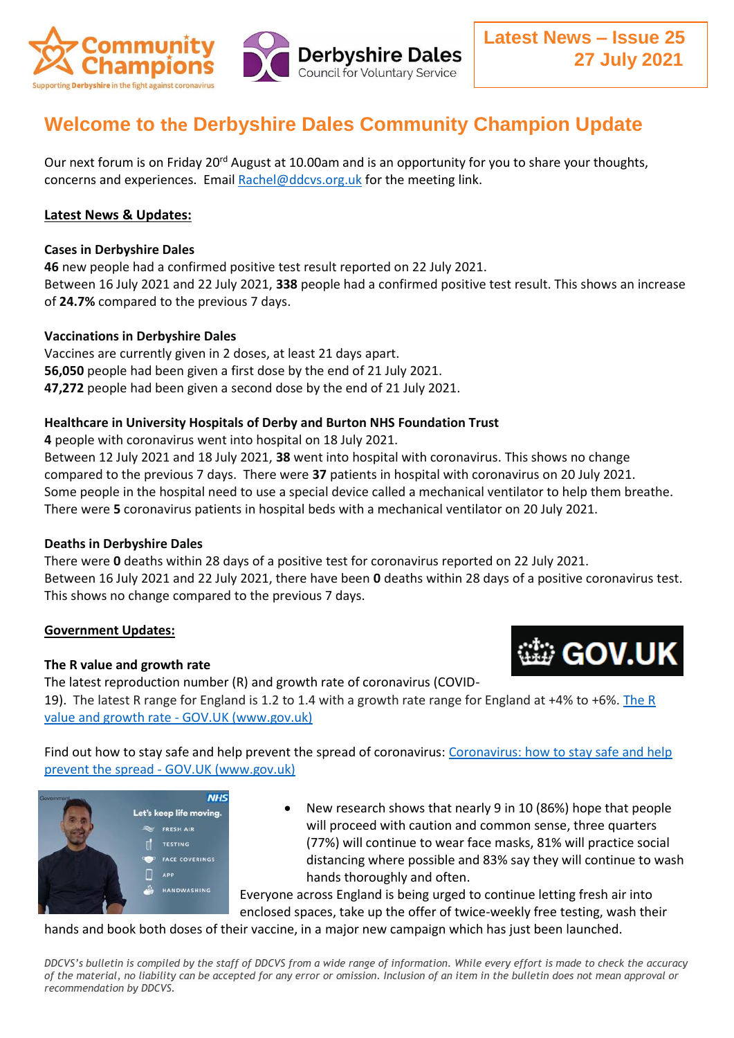

# **Welcome to the Derbyshire Dales Community Champion Update**

Our next forum is on Friday 20<sup>rd</sup> August at 10.00am and is an opportunity for you to share your thoughts, concerns and experiences. Email [Rachel@ddcvs.org.uk](mailto:Rachel@ddcvs.org.uk) for the meeting link.

## **Latest News & Updates:**

#### **Cases in Derbyshire Dales**

**46** new people had a confirmed positive test result reported on 22 July 2021. Between 16 July 2021 and 22 July 2021, **338** people had a confirmed positive test result. This shows an increase of **24.7%** compared to the previous 7 days.

## **Vaccinations in Derbyshire Dales**

Vaccines are currently given in 2 doses, at least 21 days apart. **56,050** people had been given a first dose by the end of 21 July 2021. **47,272** people had been given a second dose by the end of 21 July 2021.

## **Healthcare in University Hospitals of Derby and Burton NHS Foundation Trust**

**4** people with coronavirus went into hospital on 18 July 2021.

Between 12 July 2021 and 18 July 2021, **38** went into hospital with coronavirus. This shows no change compared to the previous 7 days. There were **37** patients in hospital with coronavirus on 20 July 2021. Some people in the hospital need to use a special device called a mechanical ventilator to help them breathe. There were **5** coronavirus patients in hospital beds with a mechanical ventilator on 20 July 2021.

## **Deaths in Derbyshire Dales**

There were **0** deaths within 28 days of a positive test for coronavirus reported on 22 July 2021. Between 16 July 2021 and 22 July 2021, there have been **0** deaths within 28 days of a positive coronavirus test. This shows no change compared to the previous 7 days.

## **Government Updates:**

## **The R value and growth rate**

The latest reproduction number (R) and growth rate of coronavirus (COVID-

19). The latest R range for England is 1.2 to 1.4 with a growth rate range for England at +4% to +6%. [The R](https://www.gov.uk/guidance/the-r-value-and-growth-rate)  [value and growth rate -](https://www.gov.uk/guidance/the-r-value-and-growth-rate) GOV.UK (www.gov.uk)

Find out how to stay safe and help prevent the spread of coronavirus: [Coronavirus: how to stay safe and help](https://www.gov.uk/guidance/covid-19-coronavirus-restrictions-what-you-can-and-cannot-do)  prevent the spread - [GOV.UK \(www.gov.uk\)](https://www.gov.uk/guidance/covid-19-coronavirus-restrictions-what-you-can-and-cannot-do)



 New research shows that nearly 9 in 10 (86%) hope that people will proceed with caution and common sense, three quarters (77%) will continue to wear face masks, 81% will practice social distancing where possible and 83% say they will continue to wash hands thoroughly and often.

Everyone across England is being urged to continue letting fresh air into enclosed spaces, take up the offer of twice-weekly free testing, wash their

hands and book both doses of their vaccine, in a major new campaign which has just been launched.

*DDCVS's bulletin is compiled by the staff of DDCVS from a wide range of information. While every effort is made to check the accuracy of the material, no liability can be accepted for any error or omission. Inclusion of an item in the bulletin does not mean approval or recommendation by DDCVS.*